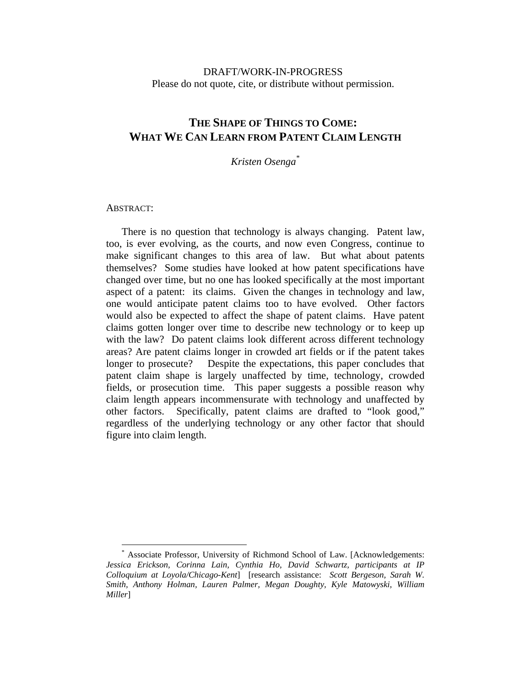# DRAFT/WORK-IN-PROGRESS Please do not quote, cite, or distribute without permission.

# **THE SHAPE OF THINGS TO COME: WHAT WE CAN LEARN FROM PATENT CLAIM LENGTH**

*Kristen Osenga\**

#### ABSTRACT:

 $\overline{a}$ 

There is no question that technology is always changing. Patent law, too, is ever evolving, as the courts, and now even Congress, continue to make significant changes to this area of law. But what about patents themselves? Some studies have looked at how patent specifications have changed over time, but no one has looked specifically at the most important aspect of a patent: its claims. Given the changes in technology and law, one would anticipate patent claims too to have evolved. Other factors would also be expected to affect the shape of patent claims. Have patent claims gotten longer over time to describe new technology or to keep up with the law? Do patent claims look different across different technology areas? Are patent claims longer in crowded art fields or if the patent takes longer to prosecute? Despite the expectations, this paper concludes that patent claim shape is largely unaffected by time, technology, crowded fields, or prosecution time. This paper suggests a possible reason why claim length appears incommensurate with technology and unaffected by other factors. Specifically, patent claims are drafted to "look good," regardless of the underlying technology or any other factor that should figure into claim length.

<sup>\*</sup> Associate Professor, University of Richmond School of Law. [Acknowledgements: *Jessica Erickson, Corinna Lain, Cynthia Ho, David Schwartz, participants at IP Colloquium at Loyola/Chicago-Kent*] [research assistance: *Scott Bergeson, Sarah W. Smith, Anthony Holman, Lauren Palmer, Megan Doughty, Kyle Matowyski, William Miller*]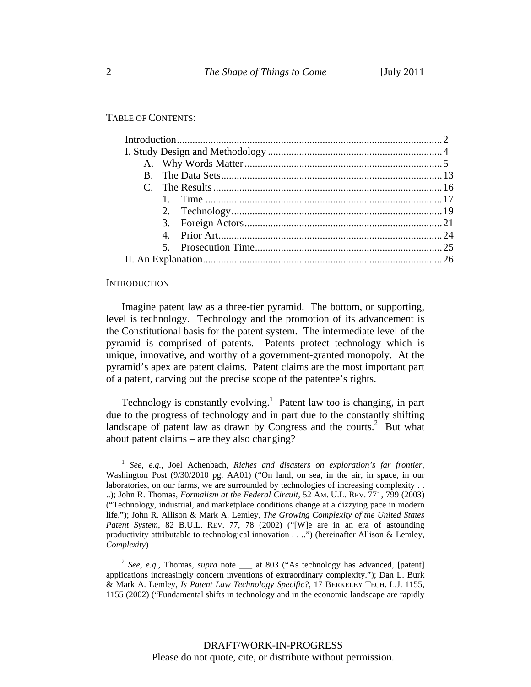TABLE OF CONTENTS:

#### **INTRODUCTION**

 $\overline{a}$ 

Imagine patent law as a three-tier pyramid. The bottom, or supporting, level is technology. Technology and the promotion of its advancement is the Constitutional basis for the patent system. The intermediate level of the pyramid is comprised of patents. Patents protect technology which is unique, innovative, and worthy of a government-granted monopoly. At the pyramid's apex are patent claims. Patent claims are the most important part of a patent, carving out the precise scope of the patentee's rights.

Technology is constantly evolving.<sup>1</sup> Patent law too is changing, in part due to the progress of technology and in part due to the constantly shifting landscape of patent law as drawn by Congress and the courts.<sup>2</sup> But what about patent claims – are they also changing?

<sup>1</sup> *See, e.g.,* Joel Achenbach, *Riches and disasters on exploration's far frontier*, Washington Post (9/30/2010 pg. AA01) ("On land, on sea, in the air, in space, in our laboratories, on our farms, we are surrounded by technologies of increasing complexity . . ..); John R. Thomas, *Formalism at the Federal Circuit,* 52 AM. U.L. REV. 771, 799 (2003) ("Technology, industrial, and marketplace conditions change at a dizzying pace in modern life."); John R. Allison & Mark A. Lemley, *The Growing Complexity of the United States Patent System*, 82 B.U.L. REV. 77, 78 (2002) ("[W]e are in an era of astounding productivity attributable to technological innovation . . ..") (hereinafter Allison & Lemley, *Complexity*)

<sup>&</sup>lt;sup>2</sup> *See, e.g.,* Thomas, *supra* note \_\_\_ at 803 ("As technology has advanced, [patent] applications increasingly concern inventions of extraordinary complexity."); Dan L. Burk & Mark A. Lemley, *Is Patent Law Technology Specific?*, 17 BERKELEY TECH. L.J. 1155, 1155 (2002) ("Fundamental shifts in technology and in the economic landscape are rapidly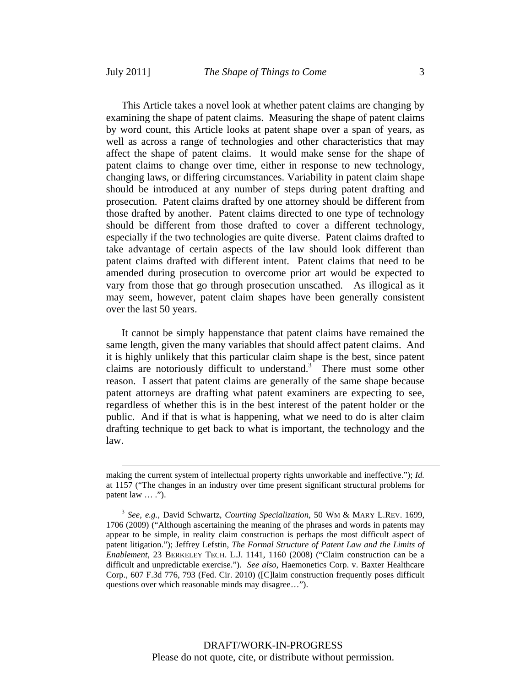This Article takes a novel look at whether patent claims are changing by examining the shape of patent claims. Measuring the shape of patent claims by word count, this Article looks at patent shape over a span of years, as well as across a range of technologies and other characteristics that may affect the shape of patent claims. It would make sense for the shape of patent claims to change over time, either in response to new technology, changing laws, or differing circumstances. Variability in patent claim shape should be introduced at any number of steps during patent drafting and prosecution. Patent claims drafted by one attorney should be different from those drafted by another. Patent claims directed to one type of technology should be different from those drafted to cover a different technology, especially if the two technologies are quite diverse. Patent claims drafted to take advantage of certain aspects of the law should look different than patent claims drafted with different intent. Patent claims that need to be amended during prosecution to overcome prior art would be expected to vary from those that go through prosecution unscathed. As illogical as it may seem, however, patent claim shapes have been generally consistent over the last 50 years.

It cannot be simply happenstance that patent claims have remained the same length, given the many variables that should affect patent claims. And it is highly unlikely that this particular claim shape is the best, since patent claims are notoriously difficult to understand.<sup>3</sup> There must some other reason. I assert that patent claims are generally of the same shape because patent attorneys are drafting what patent examiners are expecting to see, regardless of whether this is in the best interest of the patent holder or the public. And if that is what is happening, what we need to do is alter claim drafting technique to get back to what is important, the technology and the law.

making the current system of intellectual property rights unworkable and ineffective."); *Id.*  at 1157 ("The changes in an industry over time present significant structural problems for patent law  $\dots$  .").

<sup>3</sup> *See, e.g.,* David Schwartz, *Courting Specialization*, 50 WM & MARY L.REV. 1699, 1706 (2009) ("Although ascertaining the meaning of the phrases and words in patents may appear to be simple, in reality claim construction is perhaps the most difficult aspect of patent litigation."); Jeffrey Lefstin, *The Formal Structure of Patent Law and the Limits of Enablement*, 23 BERKELEY TECH. L.J. 1141, 1160 (2008) ("Claim construction can be a difficult and unpredictable exercise."). *See also*, Haemonetics Corp. v. Baxter Healthcare Corp., 607 F.3d 776, 793 (Fed. Cir. 2010) ([C]laim construction frequently poses difficult questions over which reasonable minds may disagree…").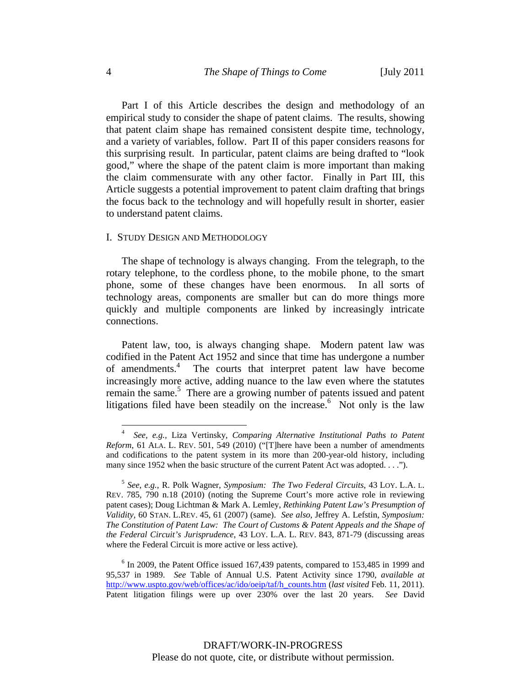Part I of this Article describes the design and methodology of an empirical study to consider the shape of patent claims. The results, showing that patent claim shape has remained consistent despite time, technology, and a variety of variables, follow. Part II of this paper considers reasons for this surprising result. In particular, patent claims are being drafted to "look good," where the shape of the patent claim is more important than making the claim commensurate with any other factor. Finally in Part III, this Article suggests a potential improvement to patent claim drafting that brings the focus back to the technology and will hopefully result in shorter, easier to understand patent claims.

#### I. STUDY DESIGN AND METHODOLOGY

The shape of technology is always changing. From the telegraph, to the rotary telephone, to the cordless phone, to the mobile phone, to the smart phone, some of these changes have been enormous. In all sorts of technology areas, components are smaller but can do more things more quickly and multiple components are linked by increasingly intricate connections.

Patent law, too, is always changing shape. Modern patent law was codified in the Patent Act 1952 and since that time has undergone a number of amendments.4 The courts that interpret patent law have become increasingly more active, adding nuance to the law even where the statutes remain the same.<sup>5</sup> There are a growing number of patents issued and patent litigations filed have been steadily on the increase.<sup>6</sup> Not only is the law

<sup>4</sup> *See, e.g.,* Liza Vertinsky*, Comparing Alternative Institutional Paths to Patent Reform*, 61 ALA. L. REV. 501, 549 (2010) ("[T]here have been a number of amendments and codifications to the patent system in its more than 200-year-old history, including many since 1952 when the basic structure of the current Patent Act was adopted. . . .").

<sup>5</sup> *See, e.g.,* R. Polk Wagner, *Symposium: The Two Federal Circuits*, 43 LOY. L.A. L. REV. 785, 790 n.18 (2010) (noting the Supreme Court's more active role in reviewing patent cases); Doug Lichtman & Mark A. Lemley, *Rethinking Patent Law's Presumption of Validity*, 60 STAN. L.REV. 45, 61 (2007) (same). *See also*, Jeffrey A. Lefstin, *Symposium: The Constitution of Patent Law: The Court of Customs & Patent Appeals and the Shape of the Federal Circuit's Jurisprudence*, 43 LOY. L.A. L. REV. 843, 871-79 (discussing areas where the Federal Circuit is more active or less active).

<sup>&</sup>lt;sup>6</sup> In 2009, the Patent Office issued 167,439 patents, compared to 153,485 in 1999 and 95,537 in 1989. *See* Table of Annual U.S. Patent Activity since 1790, *available at* http://www.uspto.gov/web/offices/ac/ido/oeip/taf/h\_counts.htm (*last visited* Feb. 11, 2011). Patent litigation filings were up over 230% over the last 20 years. *See* David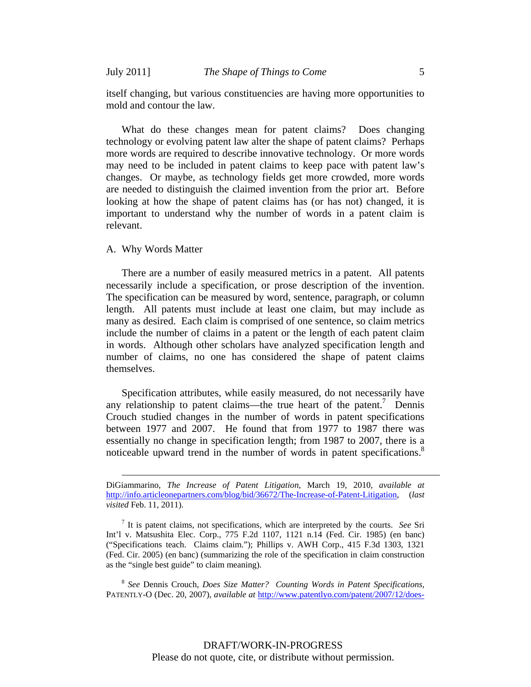itself changing, but various constituencies are having more opportunities to mold and contour the law.

What do these changes mean for patent claims? Does changing technology or evolving patent law alter the shape of patent claims? Perhaps more words are required to describe innovative technology. Or more words may need to be included in patent claims to keep pace with patent law's changes. Or maybe, as technology fields get more crowded, more words are needed to distinguish the claimed invention from the prior art. Before looking at how the shape of patent claims has (or has not) changed, it is important to understand why the number of words in a patent claim is relevant.

#### A. Why Words Matter

There are a number of easily measured metrics in a patent. All patents necessarily include a specification, or prose description of the invention. The specification can be measured by word, sentence, paragraph, or column length. All patents must include at least one claim, but may include as many as desired. Each claim is comprised of one sentence, so claim metrics include the number of claims in a patent or the length of each patent claim in words. Although other scholars have analyzed specification length and number of claims, no one has considered the shape of patent claims themselves.

Specification attributes, while easily measured, do not necessarily have any relationship to patent claims—the true heart of the patent.<sup>7</sup> Dennis Crouch studied changes in the number of words in patent specifications between 1977 and 2007. He found that from 1977 to 1987 there was essentially no change in specification length; from 1987 to 2007, there is a noticeable upward trend in the number of words in patent specifications.<sup>8</sup>

DiGiammarino, *The Increase of Patent Litigation*, March 19, 2010, *available at*  http://info.articleonepartners.com/blog/bid/36672/The-Increase-of-Patent-Litigation, (*last visited* Feb. 11, 2011).

<sup>7</sup> It is patent claims, not specifications, which are interpreted by the courts. *See* Sri Int'l v. Matsushita Elec. Corp., 775 F.2d 1107, 1121 n.14 (Fed. Cir. 1985) (en banc) ("Specifications teach. Claims claim."); Phillips v. AWH Corp., 415 F.3d 1303, 1321 (Fed. Cir. 2005) (en banc) (summarizing the role of the specification in claim construction as the "single best guide" to claim meaning).

<sup>8</sup> *See* Dennis Crouch, *Does Size Matter? Counting Words in Patent Specifications,*  PATENTLY-O (Dec. 20, 2007), *available at* http://www.patentlyo.com/patent/2007/12/does-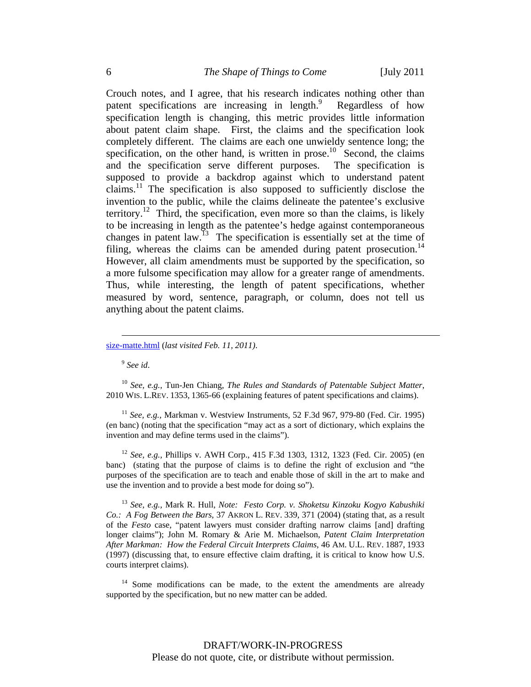Crouch notes, and I agree, that his research indicates nothing other than patent specifications are increasing in length.<sup>9</sup> Regardless of how specification length is changing, this metric provides little information about patent claim shape. First, the claims and the specification look completely different. The claims are each one unwieldy sentence long; the specification, on the other hand, is written in prose.<sup>10</sup> Second, the claims and the specification serve different purposes. The specification is supposed to provide a backdrop against which to understand patent claims.<sup>11</sup> The specification is also supposed to sufficiently disclose the invention to the public, while the claims delineate the patentee's exclusive territory.<sup>12</sup> Third, the specification, even more so than the claims, is likely to be increasing in length as the patentee's hedge against contemporaneous changes in patent law.<sup>13</sup> The specification is essentially set at the time of filing, whereas the claims can be amended during patent prosecution.<sup>14</sup> However, all claim amendments must be supported by the specification, so a more fulsome specification may allow for a greater range of amendments. Thus, while interesting, the length of patent specifications, whether measured by word, sentence, paragraph, or column, does not tell us anything about the patent claims.

<sup>9</sup> *See id*.

<sup>10</sup> *See, e.g.,* Tun-Jen Chiang, *The Rules and Standards of Patentable Subject Matter*, 2010 WIS. L.REV. 1353, 1365-66 (explaining features of patent specifications and claims).

<sup>11</sup> *See, e.g.,* Markman v. Westview Instruments, 52 F.3d 967, 979-80 (Fed. Cir. 1995) (en banc) (noting that the specification "may act as a sort of dictionary, which explains the invention and may define terms used in the claims").

<sup>12</sup> *See, e.g.,* Phillips v. AWH Corp., 415 F.3d 1303, 1312, 1323 (Fed. Cir. 2005) (en banc) (stating that the purpose of claims is to define the right of exclusion and "the purposes of the specification are to teach and enable those of skill in the art to make and use the invention and to provide a best mode for doing so").

<sup>13</sup> *See, e.g.,* Mark R. Hull, *Note: Festo Corp. v. Shoketsu Kinzoku Kogyo Kabushiki Co.: A Fog Between the Bars*, 37 AKRON L. REV. 339, 371 (2004) (stating that, as a result of the *Festo* case, "patent lawyers must consider drafting narrow claims [and] drafting longer claims"); John M. Romary & Arie M. Michaelson, *Patent Claim Interpretation After Markman: How the Federal Circuit Interprets Claims*, 46 AM. U.L. REV. 1887, 1933 (1997) (discussing that, to ensure effective claim drafting, it is critical to know how U.S. courts interpret claims).

<sup>14</sup> Some modifications can be made, to the extent the amendments are already supported by the specification, but no new matter can be added.

size-matte.html (*last visited Feb. 11, 2011)*.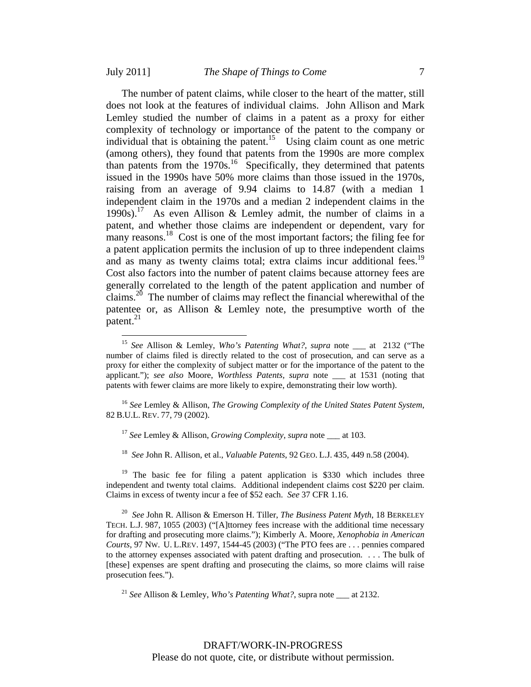$\overline{a}$ 

The number of patent claims, while closer to the heart of the matter, still does not look at the features of individual claims. John Allison and Mark Lemley studied the number of claims in a patent as a proxy for either complexity of technology or importance of the patent to the company or individual that is obtaining the patent.<sup>15</sup> Using claim count as one metric (among others), they found that patents from the 1990s are more complex than patents from the  $1970s$ .<sup>16</sup> Specifically, they determined that patents issued in the 1990s have 50% more claims than those issued in the 1970s, raising from an average of 9.94 claims to 14.87 (with a median 1 independent claim in the 1970s and a median 2 independent claims in the 1990s).<sup>17</sup> As even Allison & Lemley admit, the number of claims in a patent, and whether those claims are independent or dependent, vary for many reasons.<sup>18</sup> Cost is one of the most important factors; the filing fee for a patent application permits the inclusion of up to three independent claims and as many as twenty claims total; extra claims incur additional fees.<sup>19</sup> Cost also factors into the number of patent claims because attorney fees are generally correlated to the length of the patent application and number of claims.20 The number of claims may reflect the financial wherewithal of the patentee or, as Allison & Lemley note, the presumptive worth of the patent. $^{21}$ 

<sup>16</sup> *See* Lemley & Allison, *The Growing Complexity of the United States Patent System*, 82 B.U.L. REV. 77, 79 (2002).

<sup>17</sup> *See* Lemley & Allison, *Growing Complexity*, *supra* note \_\_\_ at 103.

<sup>18</sup> *See* John R. Allison, et al., *Valuable Patents*, 92 GEO. L.J. 435, 449 n.58 (2004).

<sup>19</sup> The basic fee for filing a patent application is \$330 which includes three independent and twenty total claims. Additional independent claims cost \$220 per claim. Claims in excess of twenty incur a fee of \$52 each. *See* 37 CFR 1.16.

<sup>20</sup> *See* John R. Allison & Emerson H. Tiller, *The Business Patent Myth*, 18 BERKELEY TECH. L.J. 987, 1055 (2003) ("[A]ttorney fees increase with the additional time necessary for drafting and prosecuting more claims."); Kimberly A. Moore, *Xenophobia in American Courts*, 97 NW. U. L.REV. 1497, 1544-45 (2003) ("The PTO fees are . . . pennies compared to the attorney expenses associated with patent drafting and prosecution. . . . The bulk of [these] expenses are spent drafting and prosecuting the claims, so more claims will raise prosecution fees.").

<sup>21</sup> *See* Allison & Lemley, *Who's Patenting What?*, supra note at 2132.

<sup>15</sup> *See* Allison & Lemley, *Who's Patenting What?*, *supra* note \_\_\_ at 2132 ("The number of claims filed is directly related to the cost of prosecution, and can serve as a proxy for either the complexity of subject matter or for the importance of the patent to the applicant."); *see also* Moore, *Worthless Patents, supra* note \_\_\_ at 1531 (noting that patents with fewer claims are more likely to expire, demonstrating their low worth).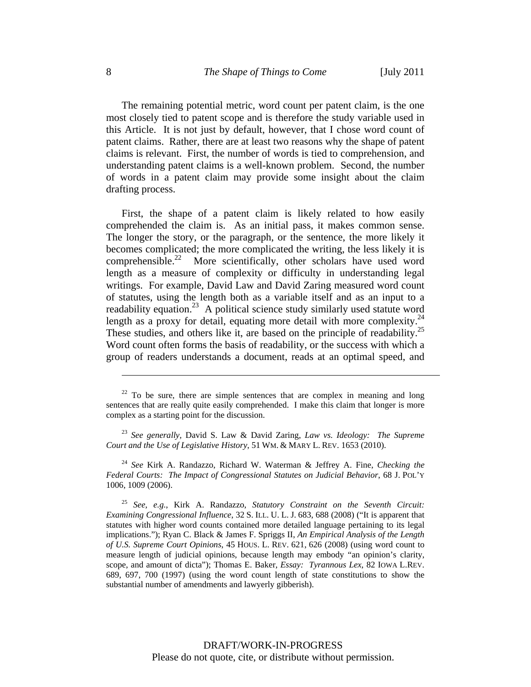The remaining potential metric, word count per patent claim, is the one most closely tied to patent scope and is therefore the study variable used in this Article. It is not just by default, however, that I chose word count of patent claims. Rather, there are at least two reasons why the shape of patent claims is relevant. First, the number of words is tied to comprehension, and understanding patent claims is a well-known problem. Second, the number of words in a patent claim may provide some insight about the claim drafting process.

First, the shape of a patent claim is likely related to how easily comprehended the claim is. As an initial pass, it makes common sense. The longer the story, or the paragraph, or the sentence, the more likely it becomes complicated; the more complicated the writing, the less likely it is comprehensible.<sup>22</sup> More scientifically, other scholars have used word length as a measure of complexity or difficulty in understanding legal writings. For example, David Law and David Zaring measured word count of statutes, using the length both as a variable itself and as an input to a readability equation.<sup>23</sup> A political science study similarly used statute word length as a proxy for detail, equating more detail with more complexity.<sup>24</sup> These studies, and others like it, are based on the principle of readability.<sup>25</sup> Word count often forms the basis of readability, or the success with which a group of readers understands a document, reads at an optimal speed, and

<sup>24</sup> *See* Kirk A. Randazzo, Richard W. Waterman & Jeffrey A. Fine, *Checking the Federal Courts: The Impact of Congressional Statutes on Judicial Behavior*, 68 J. POL'Y 1006, 1009 (2006).

<sup>25</sup> *See, e.g.*, Kirk A. Randazzo, *Statutory Constraint on the Seventh Circuit: Examining Congressional Influence*, 32 S. ILL. U. L. J. 683, 688 (2008) ("It is apparent that statutes with higher word counts contained more detailed language pertaining to its legal implications."); Ryan C. Black & James F. Spriggs II, *An Empirical Analysis of the Length of U.S. Supreme Court Opinions*, 45 HOUS. L. REV. 621, 626 (2008) (using word count to measure length of judicial opinions, because length may embody "an opinion's clarity, scope, and amount of dicta"); Thomas E. Baker, *Essay: Tyrannous Lex*, 82 IOWA L.REV. 689, 697, 700 (1997) (using the word count length of state constitutions to show the substantial number of amendments and lawyerly gibberish).

 $22$  To be sure, there are simple sentences that are complex in meaning and long sentences that are really quite easily comprehended. I make this claim that longer is more complex as a starting point for the discussion.

<sup>23</sup> *See generally,* David S. Law & David Zaring, *Law vs. Ideology: The Supreme Court and the Use of Legislative History*, 51 WM. & MARY L. REV. 1653 (2010).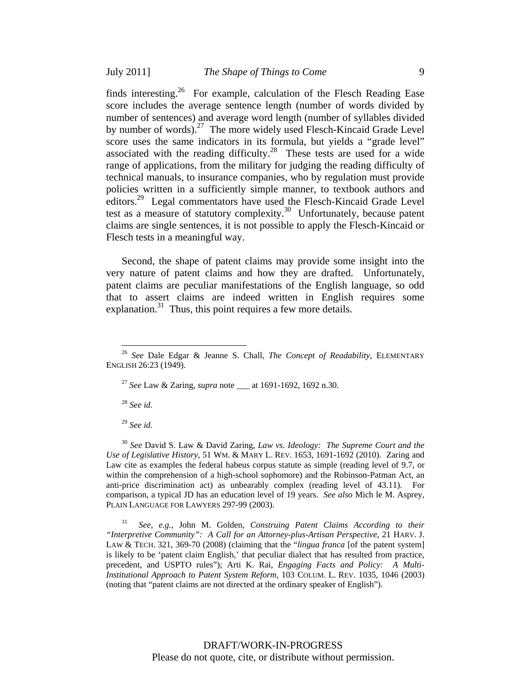finds interesting.<sup>26</sup> For example, calculation of the Flesch Reading Ease score includes the average sentence length (number of words divided by number of sentences) and average word length (number of syllables divided by number of words).<sup>27</sup> The more widely used Flesch-Kincaid Grade Level score uses the same indicators in its formula, but yields a "grade level" associated with the reading difficulty.<sup>28</sup> These tests are used for a wide range of applications, from the military for judging the reading difficulty of technical manuals, to insurance companies, who by regulation must provide policies written in a sufficiently simple manner, to textbook authors and editors.29 Legal commentators have used the Flesch-Kincaid Grade Level test as a measure of statutory complexity.<sup>30</sup> Unfortunately, because patent claims are single sentences, it is not possible to apply the Flesch-Kincaid or Flesch tests in a meaningful way.

Second, the shape of patent claims may provide some insight into the very nature of patent claims and how they are drafted. Unfortunately, patent claims are peculiar manifestations of the English language, so odd that to assert claims are indeed written in English requires some explanation.<sup>31</sup> Thus, this point requires a few more details.

<sup>27</sup> *See* Law & Zaring, *supra* note \_\_\_ at 1691-1692, 1692 n.30.

<sup>28</sup> *See id.*

 $\overline{a}$ 

<sup>29</sup> *See id.*

<sup>30</sup> *See* David S. Law & David Zaring, *Law vs. Ideology: The Supreme Court and the Use of Legislative History*, 51 WM. & MARY L. REV. 1653, 1691-1692 (2010). Zaring and Law cite as examples the federal habeus corpus statute as simple (reading level of 9.7, or within the comprehension of a high-school sophomore) and the Robinson-Patman Act, an anti-price discrimination act) as unbearably complex (reading level of 43.11). For comparison, a typical JD has an education level of 19 years. *See also* Mich le M. Asprey, PLAIN LANGUAGE FOR LAWYERS 297-99 (2003).

31 *See, e.g.,* John M. Golden, *Construing Patent Claims According to their "Interpretive Community": A Call for an Attorney-plus-Artisan Perspective*, 21 HARV. J. LAW & TECH. 321, 369-70 (2008) (claiming that the "*lingua franca* [of the patent system] is likely to be 'patent claim English,' that peculiar dialect that has resulted from practice, precedent, and USPTO rules"); Arti K. Rai, *Engaging Facts and Policy: A Multi-Institutional Approach to Patent System Reform*, 103 COLUM. L. REV. 1035, 1046 (2003) (noting that "patent claims are not directed at the ordinary speaker of English").

<sup>26</sup> *See* Dale Edgar & Jeanne S. Chall, *The Concept of Readability*, ELEMENTARY ENGLISH 26:23 (1949).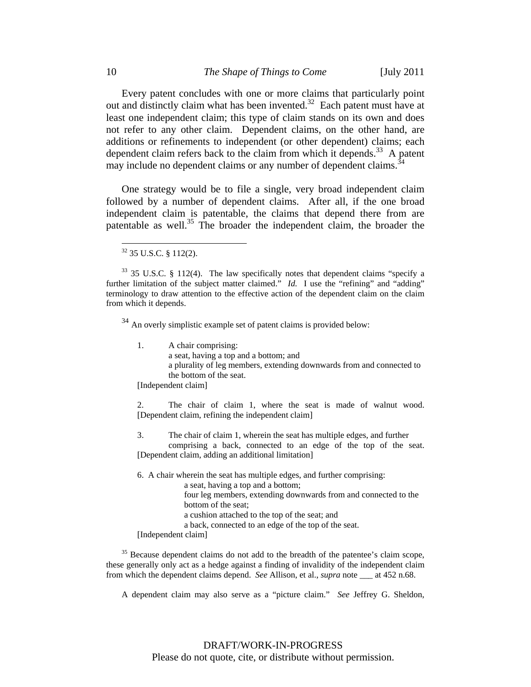Every patent concludes with one or more claims that particularly point out and distinctly claim what has been invented.32 Each patent must have at least one independent claim; this type of claim stands on its own and does not refer to any other claim. Dependent claims, on the other hand, are additions or refinements to independent (or other dependent) claims; each dependent claim refers back to the claim from which it depends.<sup>33</sup> A patent may include no dependent claims or any number of dependent claims.<sup>3</sup>

One strategy would be to file a single, very broad independent claim followed by a number of dependent claims. After all, if the one broad independent claim is patentable, the claims that depend there from are patentable as well.<sup>35</sup> The broader the independent claim, the broader the

 $\overline{a}$ 

 $34$  An overly simplistic example set of patent claims is provided below:

1. A chair comprising: a seat, having a top and a bottom; and a plurality of leg members, extending downwards from and connected to the bottom of the seat.

[Independent claim]

 2. The chair of claim 1, where the seat is made of walnut wood. [Dependent claim, refining the independent claim]

3. The chair of claim 1, wherein the seat has multiple edges, and further comprising a back, connected to an edge of the top of the seat. [Dependent claim, adding an additional limitation]

6. A chair wherein the seat has multiple edges, and further comprising: a seat, having a top and a bottom; four leg members, extending downwards from and connected to the bottom of the seat; a cushion attached to the top of the seat; and a back, connected to an edge of the top of the seat.

[Independent claim]

<sup>35</sup> Because dependent claims do not add to the breadth of the patentee's claim scope, these generally only act as a hedge against a finding of invalidity of the independent claim from which the dependent claims depend. *See* Allison, et al., *supra* note \_\_\_ at 452 n.68.

A dependent claim may also serve as a "picture claim." *See* Jeffrey G. Sheldon,

<sup>32 35</sup> U.S.C. § 112(2).

 $33$  35 U.S.C. § 112(4). The law specifically notes that dependent claims "specify a further limitation of the subject matter claimed." *Id.* I use the "refining" and "adding" terminology to draw attention to the effective action of the dependent claim on the claim from which it depends.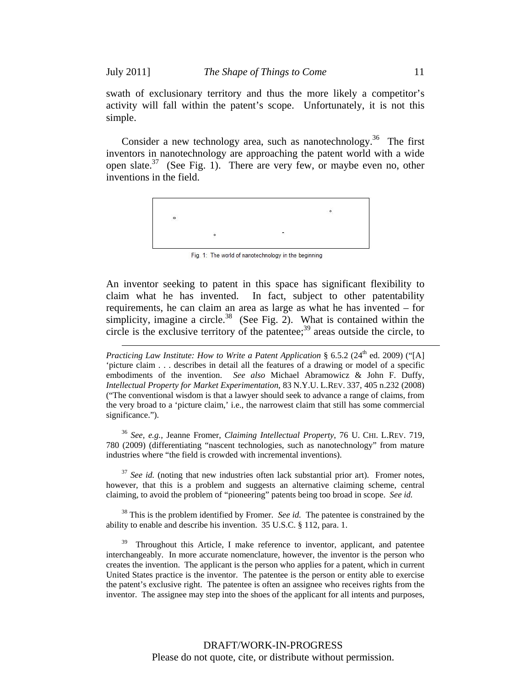$\overline{a}$ 

swath of exclusionary territory and thus the more likely a competitor's activity will fall within the patent's scope. Unfortunately, it is not this simple.

Consider a new technology area, such as nanotechnology.<sup>36</sup> The first inventors in nanotechnology are approaching the patent world with a wide open slate.37 (See Fig. 1). There are very few, or maybe even no, other inventions in the field.



Fig. 1: The world of nanotechnology in the beginning

An inventor seeking to patent in this space has significant flexibility to claim what he has invented. In fact, subject to other patentability requirements, he can claim an area as large as what he has invented – for simplicity, imagine a circle.<sup>38</sup> (See Fig. 2). What is contained within the circle is the exclusive territory of the patentee;<sup>39</sup> areas outside the circle, to

*Practicing Law Institute: How to Write a Patent Application* § 6.5.2 (24<sup>th</sup> ed. 2009) ("[A] 'picture claim . . . describes in detail all the features of a drawing or model of a specific embodiments of the invention. *See also* Michael Abramowicz & John F. Duffy, *Intellectual Property for Market Experimentation*, 83 N.Y.U. L.REV. 337, 405 n.232 (2008) ("The conventional wisdom is that a lawyer should seek to advance a range of claims, from the very broad to a 'picture claim,' i.e., the narrowest claim that still has some commercial significance.").

<sup>36</sup> *See, e.g.,* Jeanne Fromer, *Claiming Intellectual Property*, 76 U. CHI. L.REV. 719, 780 (2009) (differentiating "nascent technologies, such as nanotechnology" from mature industries where "the field is crowded with incremental inventions).

<sup>37</sup> See id. (noting that new industries often lack substantial prior art). Fromer notes, however, that this is a problem and suggests an alternative claiming scheme, central claiming, to avoid the problem of "pioneering" patents being too broad in scope. *See id.* 

38 This is the problem identified by Fromer. *See id.* The patentee is constrained by the ability to enable and describe his invention. 35 U.S.C. § 112, para. 1.

<sup>39</sup> Throughout this Article, I make reference to inventor, applicant, and patentee interchangeably. In more accurate nomenclature, however, the inventor is the person who creates the invention. The applicant is the person who applies for a patent, which in current United States practice is the inventor. The patentee is the person or entity able to exercise the patent's exclusive right. The patentee is often an assignee who receives rights from the inventor. The assignee may step into the shoes of the applicant for all intents and purposes,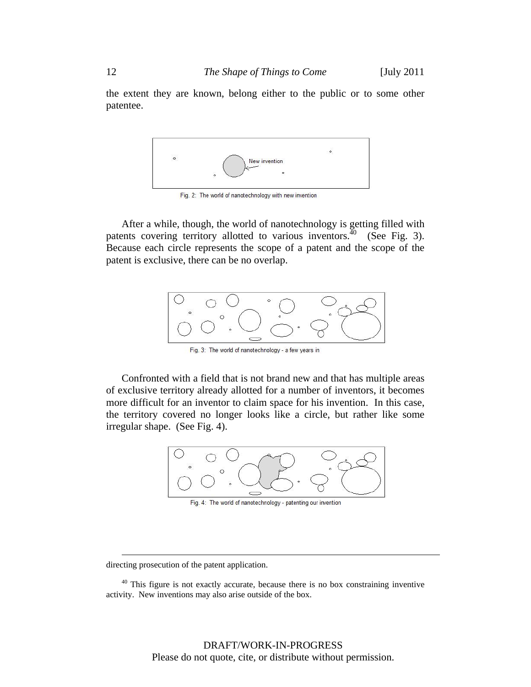the extent they are known, belong either to the public or to some other patentee.



Fig. 2: The world of nanotechnology with new invention

After a while, though, the world of nanotechnology is getting filled with patents covering territory allotted to various inventors.<sup> $40$ </sup> (See Fig. 3). Because each circle represents the scope of a patent and the scope of the patent is exclusive, there can be no overlap.



Fig. 3: The world of nanotechnology - a few years in

Confronted with a field that is not brand new and that has multiple areas of exclusive territory already allotted for a number of inventors, it becomes more difficult for an inventor to claim space for his invention. In this case, the territory covered no longer looks like a circle, but rather like some irregular shape. (See Fig. 4).



Fig. 4: The world of nanotechnology - patenting our invention

directing prosecution of the patent application.

<sup>&</sup>lt;sup>40</sup> This figure is not exactly accurate, because there is no box constraining inventive activity. New inventions may also arise outside of the box.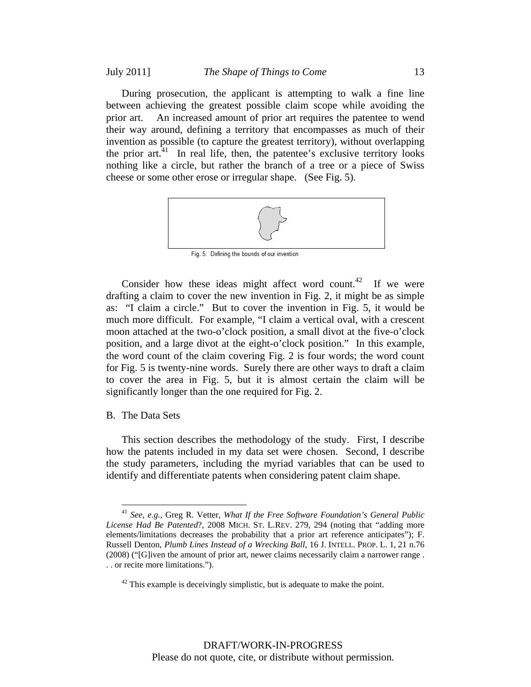During prosecution, the applicant is attempting to walk a fine line between achieving the greatest possible claim scope while avoiding the prior art. An increased amount of prior art requires the patentee to wend their way around, defining a territory that encompasses as much of their invention as possible (to capture the greatest territory), without overlapping the prior  $art<sup>41</sup>$ . In real life, then, the patentee's exclusive territory looks nothing like a circle, but rather the branch of a tree or a piece of Swiss cheese or some other erose or irregular shape. (See Fig. 5).



Fig. 5: Defining the bounds of our invention

Consider how these ideas might affect word count.<sup>42</sup> If we were drafting a claim to cover the new invention in Fig. 2, it might be as simple as: "I claim a circle." But to cover the invention in Fig. 5, it would be much more difficult. For example, "I claim a vertical oval, with a crescent moon attached at the two-o'clock position, a small divot at the five-o'clock position, and a large divot at the eight-o'clock position." In this example, the word count of the claim covering Fig. 2 is four words; the word count for Fig. 5 is twenty-nine words. Surely there are other ways to draft a claim to cover the area in Fig. 5, but it is almost certain the claim will be significantly longer than the one required for Fig. 2.

### B. The Data Sets

 $\overline{a}$ 

This section describes the methodology of the study. First, I describe how the patents included in my data set were chosen. Second, I describe the study parameters, including the myriad variables that can be used to identify and differentiate patents when considering patent claim shape.

<sup>41</sup> *See, e.g.,* Greg R. Vetter, *What If the Free Software Foundation's General Public License Had Be Patented*?, 2008 MICH. ST. L.REV. 279, 294 (noting that "adding more elements/limitations decreases the probability that a prior art reference anticipates"); F. Russell Denton, *Plumb Lines Instead of a Wrecking Ball*, 16 J. INTELL. PROP. L. 1, 21 n.76 (2008) ("[G]iven the amount of prior art, newer claims necessarily claim a narrower range . . . or recite more limitations.").

 $42$  This example is deceivingly simplistic, but is adequate to make the point.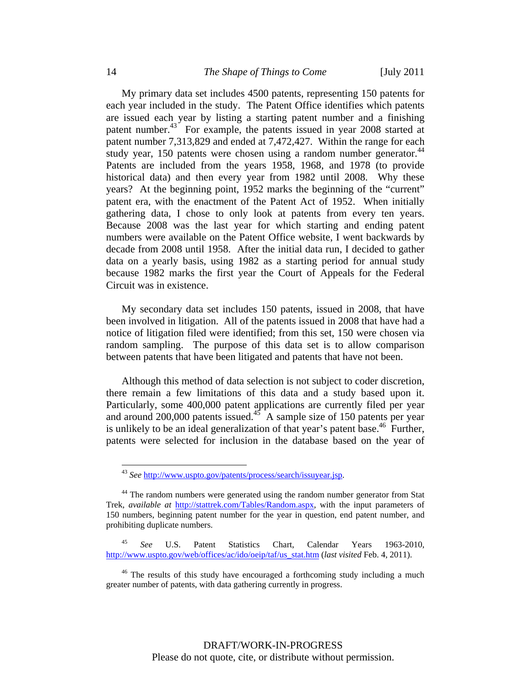My primary data set includes 4500 patents, representing 150 patents for each year included in the study. The Patent Office identifies which patents are issued each year by listing a starting patent number and a finishing patent number.<sup>43</sup> For example, the patents issued in year 2008 started at patent number 7,313,829 and ended at 7,472,427. Within the range for each study year, 150 patents were chosen using a random number generator.<sup>44</sup> Patents are included from the years 1958, 1968, and 1978 (to provide historical data) and then every year from 1982 until 2008. Why these years? At the beginning point, 1952 marks the beginning of the "current" patent era, with the enactment of the Patent Act of 1952. When initially gathering data, I chose to only look at patents from every ten years. Because 2008 was the last year for which starting and ending patent numbers were available on the Patent Office website, I went backwards by decade from 2008 until 1958. After the initial data run, I decided to gather data on a yearly basis, using 1982 as a starting period for annual study because 1982 marks the first year the Court of Appeals for the Federal Circuit was in existence.

My secondary data set includes 150 patents, issued in 2008, that have been involved in litigation. All of the patents issued in 2008 that have had a notice of litigation filed were identified; from this set, 150 were chosen via random sampling. The purpose of this data set is to allow comparison between patents that have been litigated and patents that have not been.

Although this method of data selection is not subject to coder discretion, there remain a few limitations of this data and a study based upon it. Particularly, some 400,000 patent applications are currently filed per year and around 200,000 patents issued.<sup>45</sup> A sample size of 150 patents per year is unlikely to be an ideal generalization of that year's patent base.<sup>46</sup> Further, patents were selected for inclusion in the database based on the year of

<sup>43</sup> *See* http://www.uspto.gov/patents/process/search/issuyear.jsp.

<sup>&</sup>lt;sup>44</sup> The random numbers were generated using the random number generator from Stat Trek, *available at* http://stattrek.com/Tables/Random.aspx, with the input parameters of 150 numbers, beginning patent number for the year in question, end patent number, and prohibiting duplicate numbers.

<sup>45</sup> *See* U.S. Patent Statistics Chart, Calendar Years 1963-2010, http://www.uspto.gov/web/offices/ac/ido/oeip/taf/us\_stat.htm (*last visited* Feb. 4, 2011).

<sup>&</sup>lt;sup>46</sup> The results of this study have encouraged a forthcoming study including a much greater number of patents, with data gathering currently in progress.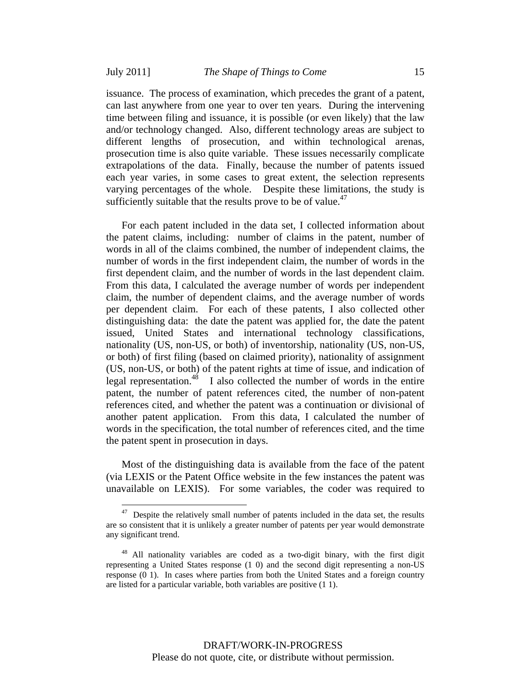issuance. The process of examination, which precedes the grant of a patent, can last anywhere from one year to over ten years. During the intervening time between filing and issuance, it is possible (or even likely) that the law and/or technology changed. Also, different technology areas are subject to different lengths of prosecution, and within technological arenas, prosecution time is also quite variable. These issues necessarily complicate extrapolations of the data. Finally, because the number of patents issued each year varies, in some cases to great extent, the selection represents varying percentages of the whole. Despite these limitations, the study is sufficiently suitable that the results prove to be of value. $47$ 

For each patent included in the data set, I collected information about the patent claims, including: number of claims in the patent, number of words in all of the claims combined, the number of independent claims, the number of words in the first independent claim, the number of words in the first dependent claim, and the number of words in the last dependent claim. From this data, I calculated the average number of words per independent claim, the number of dependent claims, and the average number of words per dependent claim. For each of these patents, I also collected other distinguishing data: the date the patent was applied for, the date the patent issued, United States and international technology classifications, nationality (US, non-US, or both) of inventorship, nationality (US, non-US, or both) of first filing (based on claimed priority), nationality of assignment (US, non-US, or both) of the patent rights at time of issue, and indication of legal representation.<sup>48</sup> I also collected the number of words in the entire patent, the number of patent references cited, the number of non-patent references cited, and whether the patent was a continuation or divisional of another patent application. From this data, I calculated the number of words in the specification, the total number of references cited, and the time the patent spent in prosecution in days.

Most of the distinguishing data is available from the face of the patent (via LEXIS or the Patent Office website in the few instances the patent was unavailable on LEXIS). For some variables, the coder was required to

 $47$  Despite the relatively small number of patents included in the data set, the results are so consistent that it is unlikely a greater number of patents per year would demonstrate any significant trend.

<sup>&</sup>lt;sup>48</sup> All nationality variables are coded as a two-digit binary, with the first digit representing a United States response (1 0) and the second digit representing a non-US response (0 1). In cases where parties from both the United States and a foreign country are listed for a particular variable, both variables are positive (1 1).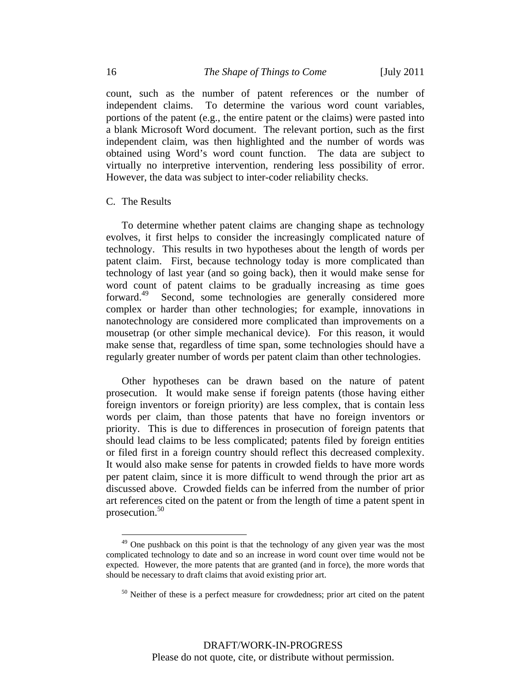count, such as the number of patent references or the number of independent claims. To determine the various word count variables, portions of the patent (e.g., the entire patent or the claims) were pasted into a blank Microsoft Word document. The relevant portion, such as the first independent claim, was then highlighted and the number of words was obtained using Word's word count function. The data are subject to virtually no interpretive intervention, rendering less possibility of error. However, the data was subject to inter-coder reliability checks.

#### C. The Results

 $\overline{a}$ 

To determine whether patent claims are changing shape as technology evolves, it first helps to consider the increasingly complicated nature of technology. This results in two hypotheses about the length of words per patent claim. First, because technology today is more complicated than technology of last year (and so going back), then it would make sense for word count of patent claims to be gradually increasing as time goes forward.<sup>49</sup> Second, some technologies are generally considered more complex or harder than other technologies; for example, innovations in nanotechnology are considered more complicated than improvements on a mousetrap (or other simple mechanical device). For this reason, it would make sense that, regardless of time span, some technologies should have a regularly greater number of words per patent claim than other technologies.

Other hypotheses can be drawn based on the nature of patent prosecution. It would make sense if foreign patents (those having either foreign inventors or foreign priority) are less complex, that is contain less words per claim, than those patents that have no foreign inventors or priority. This is due to differences in prosecution of foreign patents that should lead claims to be less complicated; patents filed by foreign entities or filed first in a foreign country should reflect this decreased complexity. It would also make sense for patents in crowded fields to have more words per patent claim, since it is more difficult to wend through the prior art as discussed above. Crowded fields can be inferred from the number of prior art references cited on the patent or from the length of time a patent spent in prosecution.50

 $49$  One pushback on this point is that the technology of any given year was the most complicated technology to date and so an increase in word count over time would not be expected. However, the more patents that are granted (and in force), the more words that should be necessary to draft claims that avoid existing prior art.

 $50$  Neither of these is a perfect measure for crowdedness; prior art cited on the patent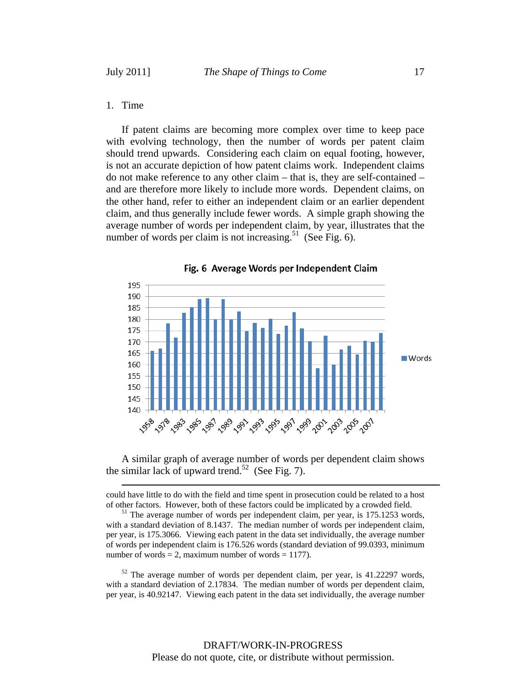### 1. Time

If patent claims are becoming more complex over time to keep pace with evolving technology, then the number of words per patent claim should trend upwards. Considering each claim on equal footing, however, is not an accurate depiction of how patent claims work. Independent claims do not make reference to any other claim – that is, they are self-contained – and are therefore more likely to include more words. Dependent claims, on the other hand, refer to either an independent claim or an earlier dependent claim, and thus generally include fewer words. A simple graph showing the average number of words per independent claim, by year, illustrates that the number of words per claim is not increasing.<sup>51</sup> (See Fig. 6).



Fig. 6 Average Words per Independent Claim

A similar graph of average number of words per dependent claim shows the similar lack of upward trend.<sup>52</sup> (See Fig. 7).

 could have little to do with the field and time spent in prosecution could be related to a host of other factors. However, both of these factors could be implicated by a crowded field.  $51$  The average number of words per independent claim, per year, is 175.1253 words,

with a standard deviation of 8.1437. The median number of words per independent claim, per year, is 175.3066. Viewing each patent in the data set individually, the average number of words per independent claim is 176.526 words (standard deviation of 99.0393, minimum number of words  $= 2$ , maximum number of words  $= 1177$ ).

 $52$  The average number of words per dependent claim, per year, is 41.22297 words, with a standard deviation of 2.17834. The median number of words per dependent claim, per year, is 40.92147. Viewing each patent in the data set individually, the average number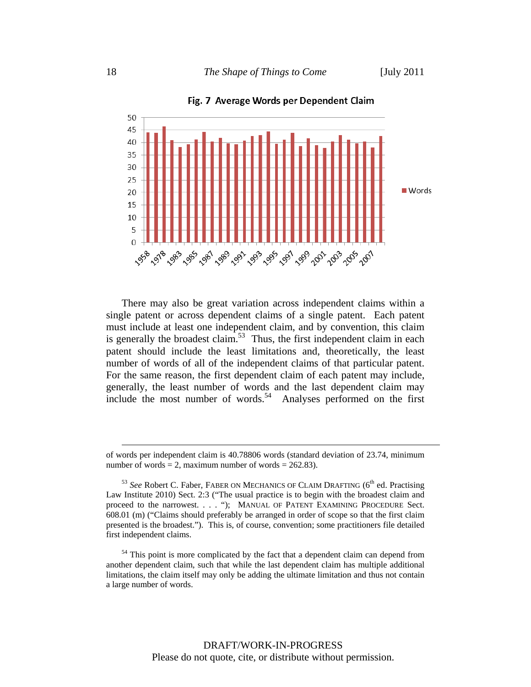

Fig. 7 Average Words per Dependent Claim

There may also be great variation across independent claims within a single patent or across dependent claims of a single patent. Each patent must include at least one independent claim, and by convention, this claim is generally the broadest claim.<sup>53</sup> Thus, the first independent claim in each patent should include the least limitations and, theoretically, the least number of words of all of the independent claims of that particular patent. For the same reason, the first dependent claim of each patent may include, generally, the least number of words and the last dependent claim may include the most number of words.<sup>54</sup> Analyses performed on the first

of words per independent claim is 40.78806 words (standard deviation of 23.74, minimum number of words = 2, maximum number of words =  $262.83$ ).

<sup>&</sup>lt;sup>53</sup> See Robert C. Faber, FABER ON MECHANICS OF CLAIM DRAFTING (6<sup>th</sup> ed. Practising Law Institute 2010) Sect. 2:3 ("The usual practice is to begin with the broadest claim and proceed to the narrowest. . . . "); MANUAL OF PATENT EXAMINING PROCEDURE Sect. 608.01 (m) ("Claims should preferably be arranged in order of scope so that the first claim presented is the broadest."). This is, of course, convention; some practitioners file detailed first independent claims.

 $54$  This point is more complicated by the fact that a dependent claim can depend from another dependent claim, such that while the last dependent claim has multiple additional limitations, the claim itself may only be adding the ultimate limitation and thus not contain a large number of words.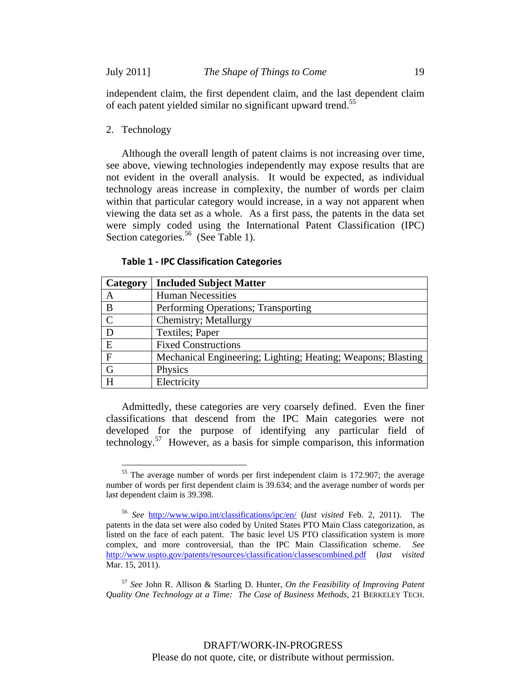independent claim, the first dependent claim, and the last dependent claim of each patent yielded similar no significant upward trend.<sup>55</sup>

2. Technology

 $\overline{a}$ 

Although the overall length of patent claims is not increasing over time, see above, viewing technologies independently may expose results that are not evident in the overall analysis. It would be expected, as individual technology areas increase in complexity, the number of words per claim within that particular category would increase, in a way not apparent when viewing the data set as a whole. As a first pass, the patents in the data set were simply coded using the International Patent Classification (IPC) Section categories.<sup>56</sup> (See Table 1).

**Table 1 - IPC Classification Categories** 

| Category      | <b>Included Subject Matter</b>                               |
|---------------|--------------------------------------------------------------|
| A             | <b>Human Necessities</b>                                     |
| B             | Performing Operations; Transporting                          |
| $\mathcal{C}$ | Chemistry; Metallurgy                                        |
| D             | Textiles; Paper                                              |
| E             | <b>Fixed Constructions</b>                                   |
| $\mathbf{F}$  | Mechanical Engineering; Lighting; Heating; Weapons; Blasting |
| G             | Physics                                                      |
| H             | Electricity                                                  |

Admittedly, these categories are very coarsely defined. Even the finer classifications that descend from the IPC Main categories were not developed for the purpose of identifying any particular field of technology.57 However, as a basis for simple comparison, this information

<sup>&</sup>lt;sup>55</sup> The average number of words per first independent claim is 172.907; the average number of words per first dependent claim is 39.634; and the average number of words per last dependent claim is 39.398.

<sup>56</sup> *See* http://www.wipo.int/classifications/ipc/en/ (*last visited* Feb. 2, 2011). The patents in the data set were also coded by United States PTO Main Class categorization, as listed on the face of each patent. The basic level US PTO classification system is more complex, and more controversial, than the IPC Main Classification scheme. *See* http://www.uspto.gov/patents/resources/classification/classescombined.pdf (*last visited* Mar. 15, 2011).

<sup>57</sup> *See* John R. Allison & Starling D. Hunter, *On the Feasibility of Improving Patent Quality One Technology at a Time: The Case of Business Methods*, 21 BERKELEY TECH.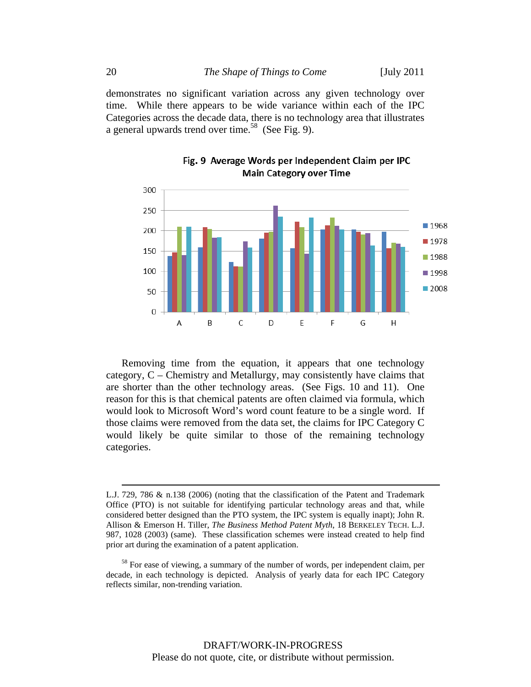demonstrates no significant variation across any given technology over time. While there appears to be wide variance within each of the IPC Categories across the decade data, there is no technology area that illustrates a general upwards trend over time.<sup>58</sup> (See Fig. 9).



## Fig. 9 Average Words per Independent Claim per IPC **Main Category over Time**

Removing time from the equation, it appears that one technology category, C – Chemistry and Metallurgy, may consistently have claims that are shorter than the other technology areas. (See Figs. 10 and 11). One reason for this is that chemical patents are often claimed via formula, which would look to Microsoft Word's word count feature to be a single word. If those claims were removed from the data set, the claims for IPC Category C would likely be quite similar to those of the remaining technology categories.

L.J. 729, 786 & n.138 (2006) (noting that the classification of the Patent and Trademark Office (PTO) is not suitable for identifying particular technology areas and that, while considered better designed than the PTO system, the IPC system is equally inapt); John R. Allison & Emerson H. Tiller, *The Business Method Patent Myth*, 18 BERKELEY TECH. L.J. 987, 1028 (2003) (same). These classification schemes were instead created to help find prior art during the examination of a patent application.

<sup>&</sup>lt;sup>58</sup> For ease of viewing, a summary of the number of words, per independent claim, per decade, in each technology is depicted. Analysis of yearly data for each IPC Category reflects similar, non-trending variation.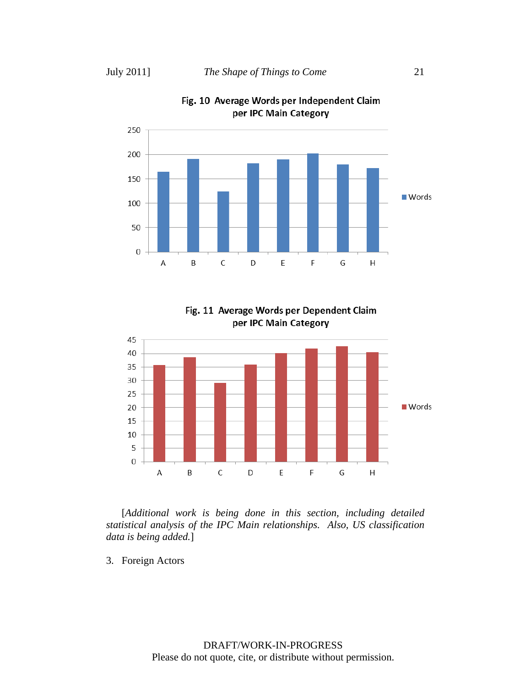



Fig. 11 Average Words per Dependent Claim per IPC Main Category



[*Additional work is being done in this section, including detailed statistical analysis of the IPC Main relationships. Also, US classification data is being added.*]

3. Foreign Actors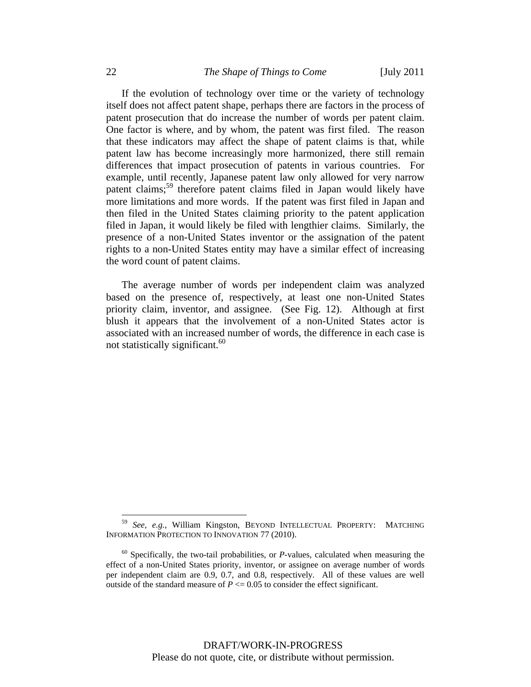If the evolution of technology over time or the variety of technology itself does not affect patent shape, perhaps there are factors in the process of patent prosecution that do increase the number of words per patent claim. One factor is where, and by whom, the patent was first filed. The reason that these indicators may affect the shape of patent claims is that, while patent law has become increasingly more harmonized, there still remain differences that impact prosecution of patents in various countries. For example, until recently, Japanese patent law only allowed for very narrow patent claims;<sup>59</sup> therefore patent claims filed in Japan would likely have more limitations and more words. If the patent was first filed in Japan and then filed in the United States claiming priority to the patent application filed in Japan, it would likely be filed with lengthier claims. Similarly, the presence of a non-United States inventor or the assignation of the patent rights to a non-United States entity may have a similar effect of increasing the word count of patent claims.

The average number of words per independent claim was analyzed based on the presence of, respectively, at least one non-United States priority claim, inventor, and assignee. (See Fig. 12). Although at first blush it appears that the involvement of a non-United States actor is associated with an increased number of words, the difference in each case is not statistically significant.<sup>60</sup>

<sup>59</sup> *See, e.g.*, William Kingston, BEYOND INTELLECTUAL PROPERTY: MATCHING INFORMATION PROTECTION TO INNOVATION 77 (2010).

<sup>60</sup> Specifically, the two-tail probabilities, or *P*-values, calculated when measuring the effect of a non-United States priority, inventor, or assignee on average number of words per independent claim are 0.9, 0.7, and 0.8, respectively. All of these values are well outside of the standard measure of  $P \le 0.05$  to consider the effect significant.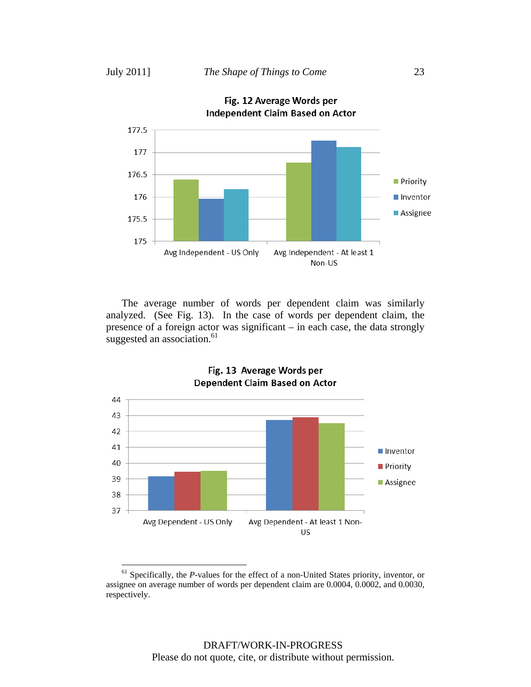$\overline{a}$ 

Fig. 12 Average Words per



The average number of words per dependent claim was similarly analyzed. (See Fig. 13). In the case of words per dependent claim, the presence of a foreign actor was significant – in each case, the data strongly suggested an association.<sup>61</sup>



Fig. 13 Average Words per Dependent Claim Based on Actor

<sup>&</sup>lt;sup>61</sup> Specifically, the *P*-values for the effect of a non-United States priority, inventor, or assignee on average number of words per dependent claim are 0.0004, 0.0002, and 0.0030, respectively.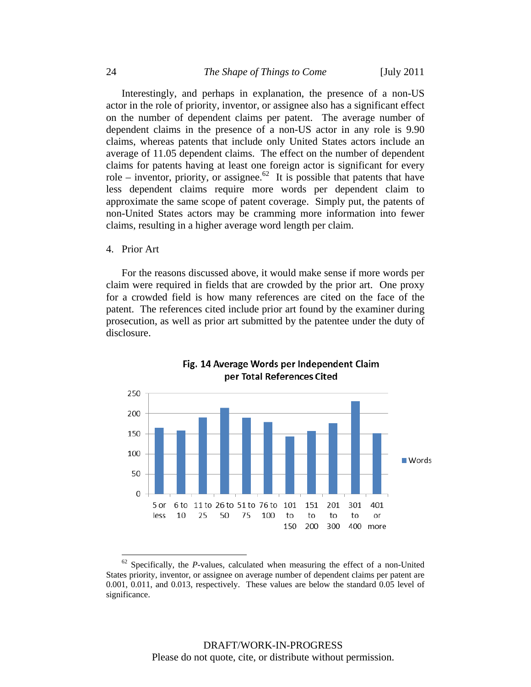Interestingly, and perhaps in explanation, the presence of a non-US actor in the role of priority, inventor, or assignee also has a significant effect on the number of dependent claims per patent. The average number of dependent claims in the presence of a non-US actor in any role is 9.90 claims, whereas patents that include only United States actors include an average of 11.05 dependent claims. The effect on the number of dependent claims for patents having at least one foreign actor is significant for every role – inventor, priority, or assignee.<sup>62</sup> It is possible that patents that have less dependent claims require more words per dependent claim to approximate the same scope of patent coverage. Simply put, the patents of non-United States actors may be cramming more information into fewer claims, resulting in a higher average word length per claim.

#### 4. Prior Art

 $\overline{a}$ 

For the reasons discussed above, it would make sense if more words per claim were required in fields that are crowded by the prior art. One proxy for a crowded field is how many references are cited on the face of the patent. The references cited include prior art found by the examiner during prosecution, as well as prior art submitted by the patentee under the duty of disclosure.





 $62$  Specifically, the *P*-values, calculated when measuring the effect of a non-United States priority, inventor, or assignee on average number of dependent claims per patent are 0.001, 0.011, and 0.013, respectively. These values are below the standard 0.05 level of significance.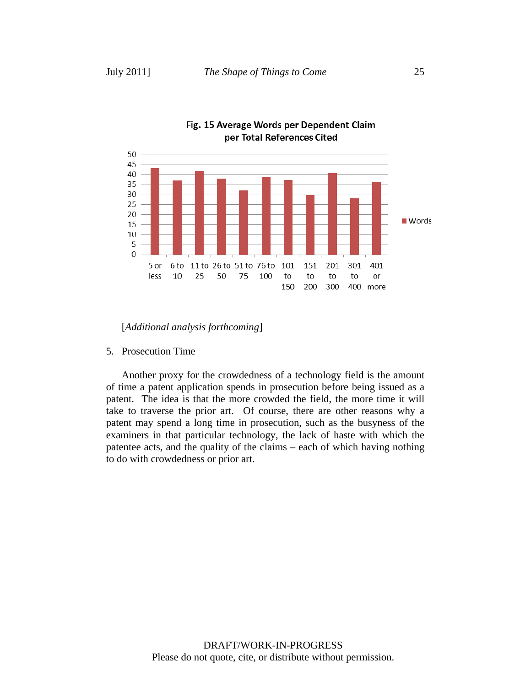

### Fig. 15 Average Words per Dependent Claim per Total References Cited

[*Additional analysis forthcoming*]

5. Prosecution Time

Another proxy for the crowdedness of a technology field is the amount of time a patent application spends in prosecution before being issued as a patent. The idea is that the more crowded the field, the more time it will take to traverse the prior art. Of course, there are other reasons why a patent may spend a long time in prosecution, such as the busyness of the examiners in that particular technology, the lack of haste with which the patentee acts, and the quality of the claims – each of which having nothing to do with crowdedness or prior art.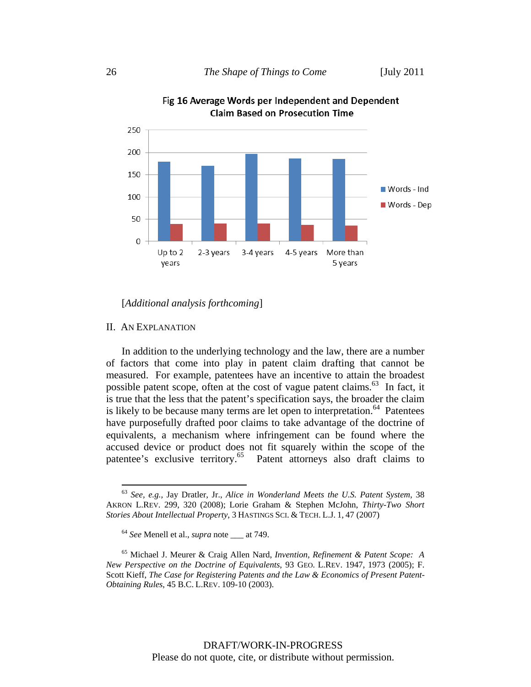



### [*Additional analysis forthcoming*]

### II. AN EXPLANATION

 $\overline{a}$ 

In addition to the underlying technology and the law, there are a number of factors that come into play in patent claim drafting that cannot be measured. For example, patentees have an incentive to attain the broadest possible patent scope, often at the cost of vague patent claims.<sup>63</sup> In fact, it is true that the less that the patent's specification says, the broader the claim is likely to be because many terms are let open to interpretation.<sup> $64$ </sup> Patentees have purposefully drafted poor claims to take advantage of the doctrine of equivalents, a mechanism where infringement can be found where the accused device or product does not fit squarely within the scope of the patentee's exclusive territory.<sup>65</sup> Patent attorneys also draft claims to

<sup>63</sup> *See, e.g.,* Jay Dratler, Jr., *Alice in Wonderland Meets the U.S. Patent System*, 38 AKRON L.REV. 299, 320 (2008); Lorie Graham & Stephen McJohn, *Thirty-Two Short Stories About Intellectual Property*, 3 HASTINGS SCI. & TECH. L.J. 1, 47 (2007)

<sup>64</sup> *See* Menell et al., *supra* note \_\_\_ at 749.

<sup>65</sup> Michael J. Meurer & Craig Allen Nard, *Invention, Refinement & Patent Scope: A New Perspective on the Doctrine of Equivalents*, 93 GEO. L.REV. 1947, 1973 (2005); F. Scott Kieff, *The Case for Registering Patents and the Law & Economics of Present Patent-Obtaining Rules*, 45 B.C. L.REV. 109-10 (2003).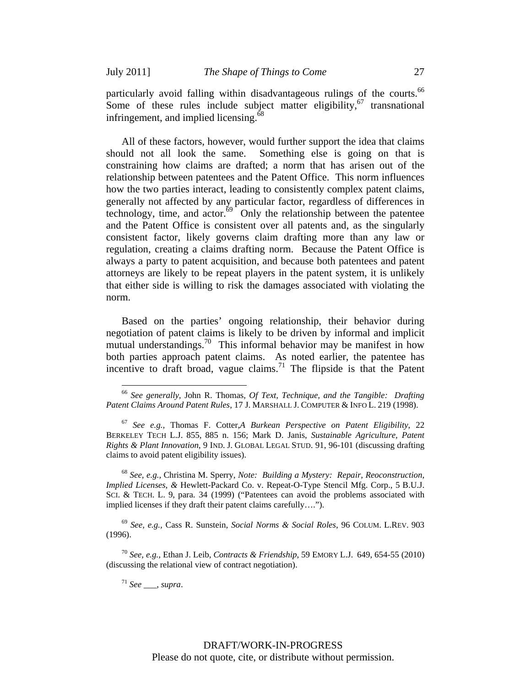$\overline{a}$ 

particularly avoid falling within disadvantageous rulings of the courts.<sup>66</sup> Some of these rules include subject matter eligibility,  $67$  transnational infringement, and implied licensing.<sup>68</sup>

All of these factors, however, would further support the idea that claims should not all look the same. Something else is going on that is constraining how claims are drafted; a norm that has arisen out of the relationship between patentees and the Patent Office. This norm influences how the two parties interact, leading to consistently complex patent claims, generally not affected by any particular factor, regardless of differences in technology, time, and actor. $\frac{69}{9}$  Only the relationship between the patentee and the Patent Office is consistent over all patents and, as the singularly consistent factor, likely governs claim drafting more than any law or regulation, creating a claims drafting norm. Because the Patent Office is always a party to patent acquisition, and because both patentees and patent attorneys are likely to be repeat players in the patent system, it is unlikely that either side is willing to risk the damages associated with violating the norm.

Based on the parties' ongoing relationship, their behavior during negotiation of patent claims is likely to be driven by informal and implicit mutual understandings.<sup>70</sup> This informal behavior may be manifest in how both parties approach patent claims. As noted earlier, the patentee has incentive to draft broad, vague claims.<sup>71</sup> The flipside is that the Patent

<sup>68</sup> *See, e.g.,* Christina M. Sperry, *Note: Building a Mystery: Repair, Reoconstruction, Implied Licenses, &* Hewlett-Packard Co. v. Repeat-O-Type Stencil Mfg. Corp., 5 B.U.J. SCI. & TECH. L. 9, para. 34 (1999) ("Patentees can avoid the problems associated with implied licenses if they draft their patent claims carefully….").

<sup>69</sup> *See, e.g.,* Cass R. Sunstein, *Social Norms & Social Roles*, 96 COLUM. L.REV. 903 (1996).

<sup>70</sup> *See, e.g.,* Ethan J. Leib, *Contracts & Friendship*, 59 EMORY L.J. 649, 654-55 (2010) (discussing the relational view of contract negotiation).

<sup>71</sup> *See* \_\_\_, *supra*.

<sup>66</sup> *See generally,* John R. Thomas, *Of Text, Technique, and the Tangible: Drafting Patent Claims Around Patent Rules*, 17 J. MARSHALL J. COMPUTER & INFO L. 219 (1998).

<sup>67</sup> *See e.g.,* Thomas F. Cotter,*A Burkean Perspective on Patent Eligibility*, 22 BERKELEY TECH L.J. 855, 885 n. 156; Mark D. Janis, *Sustainable Agriculture, Patent Rights & Plant Innovation*, 9 IND. J. GLOBAL LEGAL STUD. 91, 96-101 (discussing drafting claims to avoid patent eligibility issues).